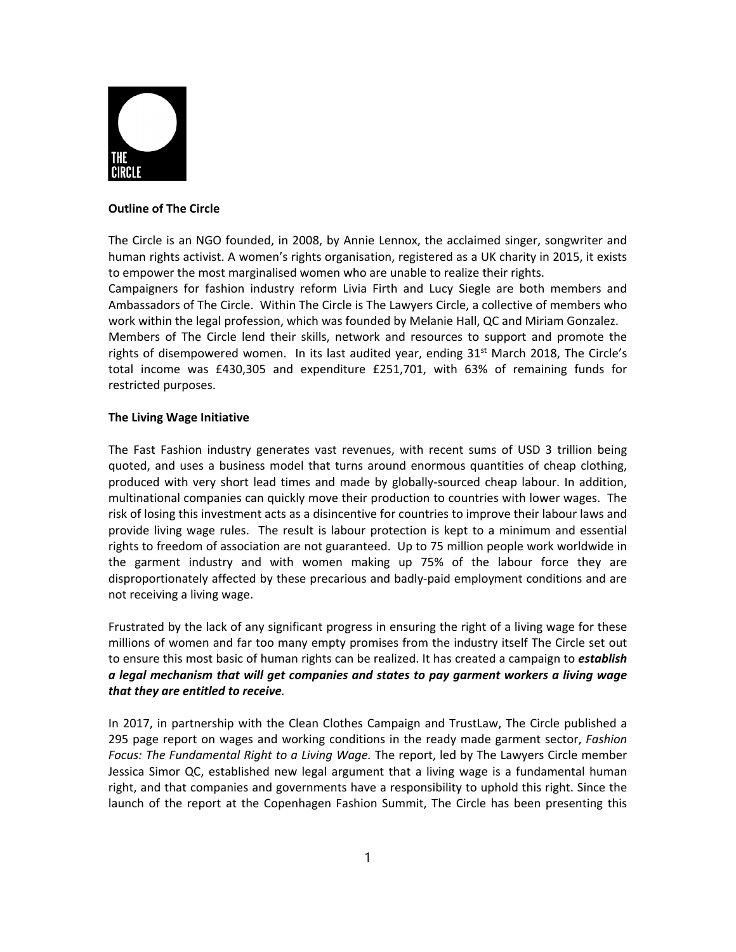

## **Outline of The Circle**

The Circle is an NGO founded, in 2008, by Annie Lennox, the acclaimed singer, songwriter and human rights activist. A women's rights organisation, registered as a UK charity in 2015, it exists to empower the most marginalised women who are unable to realize their rights. Campaigners for fashion industry reform Livia Firth and Lucy Siegle are both members and

Ambassadors of The Circle. Within The Circle is The Lawyers Circle, a collective of members who work within the legal profession, which was founded by Melanie Hall, QC and Miriam Gonzalez. Members of The Circle lend their skills, network and resources to support and promote the rights of disempowered women. In its last audited year, ending  $31<sup>st</sup>$  March 2018, The Circle's total income was £430,305 and expenditure £251,701, with 63% of remaining funds for restricted purposes.

## **The Living Wage Initiative**

The Fast Fashion industry generates vast revenues, with recent sums of USD 3 trillion being quoted, and uses a business model that turns around enormous quantities of cheap clothing, produced with very short lead times and made by globally-sourced cheap labour. In addition, multinational companies can quickly move their production to countries with lower wages. The risk of losing this investment acts as a disincentive for countries to improve their labour laws and provide living wage rules. The result is labour protection is kept to a minimum and essential rights to freedom of association are not guaranteed. Up to 75 million people work worldwide in the garment industry and with women making up 75% of the labour force they are disproportionately affected by these precarious and badly‐paid employment conditions and are not receiving a living wage.

Frustrated by the lack of any significant progress in ensuring the right of a living wage for these millions of women and far too many empty promises from the industry itself The Circle set out to ensure this most basic of human rights can be realized. It has created a campaign to *establish a legal mechanism that will get companies and states to pay garment workers a living wage that they are entitled to receive.*

In 2017, in partnership with the Clean Clothes Campaign and TrustLaw, The Circle published a 295 page report on wages and working conditions in the ready made garment sector, *Fashion Focus: The Fundamental Right to a Living Wage.* The report, led by The Lawyers Circle member Jessica Simor QC, established new legal argument that a living wage is a fundamental human right, and that companies and governments have a responsibility to uphold this right. Since the launch of the report at the Copenhagen Fashion Summit, The Circle has been presenting this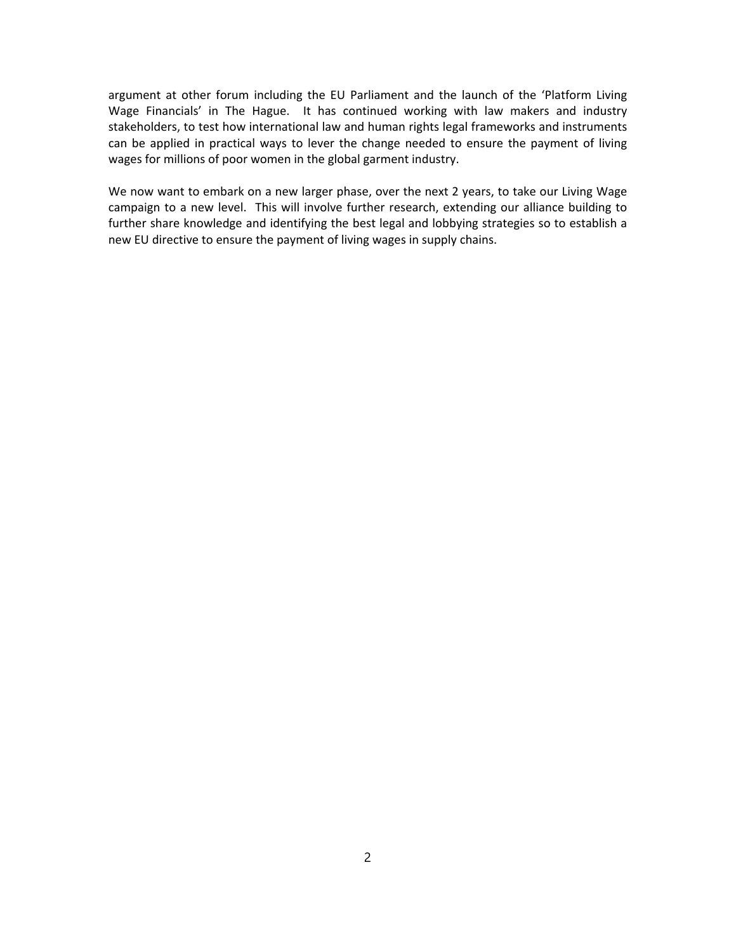argument at other forum including the EU Parliament and the launch of the 'Platform Living Wage Financials' in The Hague. It has continued working with law makers and industry stakeholders, to test how international law and human rights legal frameworks and instruments can be applied in practical ways to lever the change needed to ensure the payment of living wages for millions of poor women in the global garment industry.

We now want to embark on a new larger phase, over the next 2 years, to take our Living Wage campaign to a new level. This will involve further research, extending our alliance building to further share knowledge and identifying the best legal and lobbying strategies so to establish a new EU directive to ensure the payment of living wages in supply chains.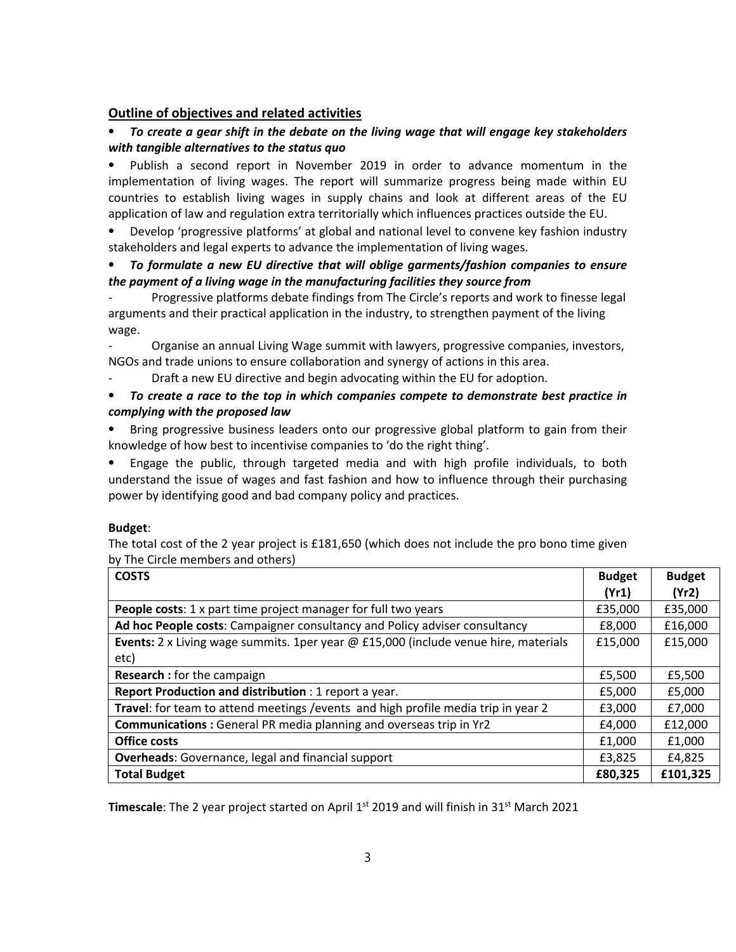## **Outline of objectives and related activities**

# ⦁ *To create a gear shift in the debate on the living wage that will engage key stakeholders with tangible alternatives to the status quo*

Publish a second report in November 2019 in order to advance momentum in the implementation of living wages. The report will summarize progress being made within EU countries to establish living wages in supply chains and look at different areas of the EU application of law and regulation extra territorially which influences practices outside the EU.

Develop 'progressive platforms' at global and national level to convene key fashion industry stakeholders and legal experts to advance the implementation of living wages.

## ⦁ *To formulate a new EU directive that will oblige garments/fashion companies to ensure the payment of a living wage in the manufacturing facilities they source from*

*‐* Progressive platforms debate findings from The Circle's reports and work to finesse legal arguments and their practical application in the industry, to strengthen payment of the living wage.

*‐* Organise an annual Living Wage summit with lawyers, progressive companies, investors, NGOs and trade unions to ensure collaboration and synergy of actions in this area.

‐ Draft a new EU directive and begin advocating within the EU for adoption.

## ⦁ *To create a race to the top in which companies compete to demonstrate best practice in complying with the proposed law*

⦁ Bring progressive business leaders onto our progressive global platform to gain from their knowledge of how best to incentivise companies to 'do the right thing'.

⦁ Engage the public, through targeted media and with high profile individuals, to both understand the issue of wages and fast fashion and how to influence through their purchasing power by identifying good and bad company policy and practices.

#### **Budget**:

The totaI cost of the 2 year project is £181,650 (which does not include the pro bono time given by The Circle members and others)

| <b>COSTS</b>                                                                        | <b>Budget</b><br>(Yr1) | <b>Budget</b><br>(Yr2) |
|-------------------------------------------------------------------------------------|------------------------|------------------------|
| <b>People costs:</b> 1 x part time project manager for full two years               | £35,000                | £35,000                |
| Ad hoc People costs: Campaigner consultancy and Policy adviser consultancy          | £8,000                 | £16,000                |
| Events: 2 x Living wage summits. 1per year @ £15,000 (include venue hire, materials | £15,000                | £15,000                |
| etc)                                                                                |                        |                        |
| <b>Research:</b> for the campaign                                                   | £5,500                 | £5,500                 |
| Report Production and distribution : 1 report a year.                               | £5,000                 | £5,000                 |
| Travel: for team to attend meetings / events and high profile media trip in year 2  | £3,000                 | £7,000                 |
| <b>Communications:</b> General PR media planning and overseas trip in Yr2           | £4,000                 | £12,000                |
| <b>Office costs</b>                                                                 | £1,000                 | £1,000                 |
| <b>Overheads:</b> Governance, legal and financial support                           | £3,825                 | £4,825                 |
| <b>Total Budget</b>                                                                 | £80,325                | £101,325               |

Timescale: The 2 year project started on April 1<sup>st</sup> 2019 and will finish in 31<sup>st</sup> March 2021